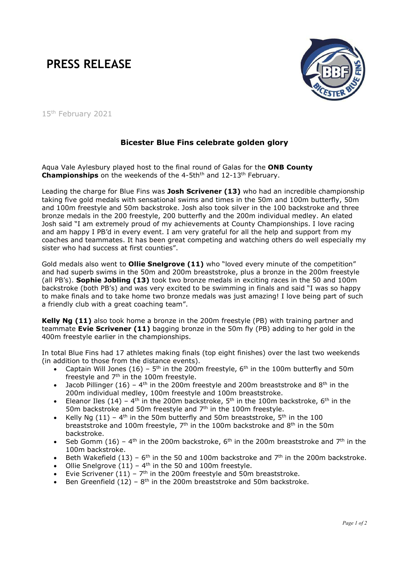## PRESS RELEASE



15<sup>th</sup> February 2021

## Bicester Blue Fins celebrate golden glory

Aqua Vale Aylesbury played host to the final round of Galas for the ONB County Championships on the weekends of the 4-5th<sup>th</sup> and 12-13<sup>th</sup> February.

Leading the charge for Blue Fins was Josh Scrivener (13) who had an incredible championship taking five gold medals with sensational swims and times in the 50m and 100m butterfly, 50m and 100m freestyle and 50m backstroke. Josh also took silver in the 100 backstroke and three bronze medals in the 200 freestyle, 200 butterfly and the 200m individual medley. An elated Josh said "I am extremely proud of my achievements at County Championships. I love racing and am happy I PB'd in every event. I am very grateful for all the help and support from my coaches and teammates. It has been great competing and watching others do well especially my sister who had success at first counties".

Gold medals also went to **Ollie Snelgrove (11)** who "loved every minute of the competition" and had superb swims in the 50m and 200m breaststroke, plus a bronze in the 200m freestyle (all PB's). **Sophie Jobling (13)** took two bronze medals in exciting races in the 50 and 100m backstroke (both PB's) and was very excited to be swimming in finals and said "I was so happy to make finals and to take home two bronze medals was just amazing! I love being part of such a friendly club with a great coaching team".

Kelly Ng (11) also took home a bronze in the 200m freestyle (PB) with training partner and teammate Evie Scrivener (11) bagging bronze in the 50m fly (PB) adding to her gold in the 400m freestyle earlier in the championships.

In total Blue Fins had 17 athletes making finals (top eight finishes) over the last two weekends (in addition to those from the distance events).

- Captain Will Jones (16)  $5<sup>th</sup>$  in the 200m freestyle,  $6<sup>th</sup>$  in the 100m butterfly and 50m freestyle and  $7<sup>th</sup>$  in the 100m freestyle.
- Jacob Pillinger (16)  $4<sup>th</sup>$  in the 200m freestyle and 200m breaststroke and  $8<sup>th</sup>$  in the 200m individual medley, 100m freestyle and 100m breaststroke.
- Eleanor Iles (14) 4<sup>th</sup> in the 200m backstroke, 5<sup>th</sup> in the 100m backstroke, 6<sup>th</sup> in the 50m backstroke and 50m freestyle and 7<sup>th</sup> in the 100m freestyle.
- Kelly Ng  $(11)$  4<sup>th</sup> in the 50m butterfly and 50m breaststroke, 5<sup>th</sup> in the 100 breaststroke and 100m freestyle,  $7<sup>th</sup>$  in the 100m backstroke and  $8<sup>th</sup>$  in the 50m backstroke.
- Seb Gomm (16)  $4<sup>th</sup>$  in the 200m backstroke, 6<sup>th</sup> in the 200m breaststroke and 7<sup>th</sup> in the 100m backstroke.
- Beth Wakefield (13)  $6<sup>th</sup>$  in the 50 and 100m backstroke and  $7<sup>th</sup>$  in the 200m backstroke.
- Ollie Snelgrove  $(11)$  4<sup>th</sup> in the 50 and 100m freestyle.
- Evie Scrivener (11) 7th in the 200m freestyle and 50m breaststroke.
- Ben Greenfield  $(12)$  8<sup>th</sup> in the 200m breaststroke and 50m backstroke.